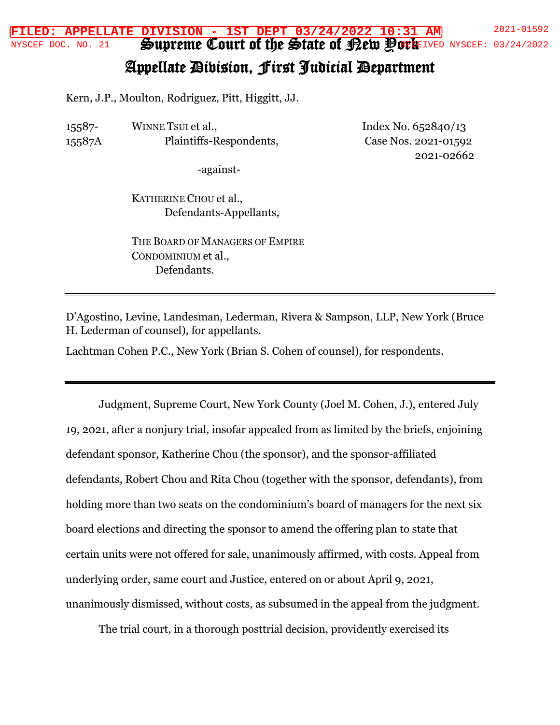Supreme Court of the State of Bew Pork **FILED: APPELLATE DIVISION - 1ST DEPT 03/24/2022 10:31 AM** 2021-01592 NYSCEF DOC. NO. 21 SOUDTEME COUTT OI INE SOIALE OI ELEID POCEFINYSCEF: 03/24/2022

## Appellate Division, First Judicial Department

Kern, J.P., Moulton, Rodriguez, Pitt, Higgitt, JJ.

15587- 15587A WINNE TSUI et al., Plaintiffs-Respondents, Index No. 652840/13 Case Nos. 2021-01592 2021-02662

-against-

KATHERINE CHOU et al., Defendants-Appellants,

THE BOARD OF MANAGERS OF EMPIRE CONDOMINIUM et al., Defendants.

D'Agostino, Levine, Landesman, Lederman, Rivera & Sampson, LLP, New York (Bruce H. Lederman of counsel), for appellants.

Lachtman Cohen P.C., New York (Brian S. Cohen of counsel), for respondents.

Judgment, Supreme Court, New York County (Joel M. Cohen, J.), entered July 19, 2021, after a nonjury trial, insofar appealed from as limited by the briefs, enjoining defendant sponsor, Katherine Chou (the sponsor), and the sponsor-affiliated defendants, Robert Chou and Rita Chou (together with the sponsor, defendants), from holding more than two seats on the condominium's board of managers for the next six board elections and directing the sponsor to amend the offering plan to state that certain units were not offered for sale, unanimously affirmed, with costs. Appeal from underlying order, same court and Justice, entered on or about April 9, 2021, unanimously dismissed, without costs, as subsumed in the appeal from the judgment.

The trial court, in a thorough posttrial decision, providently exercised its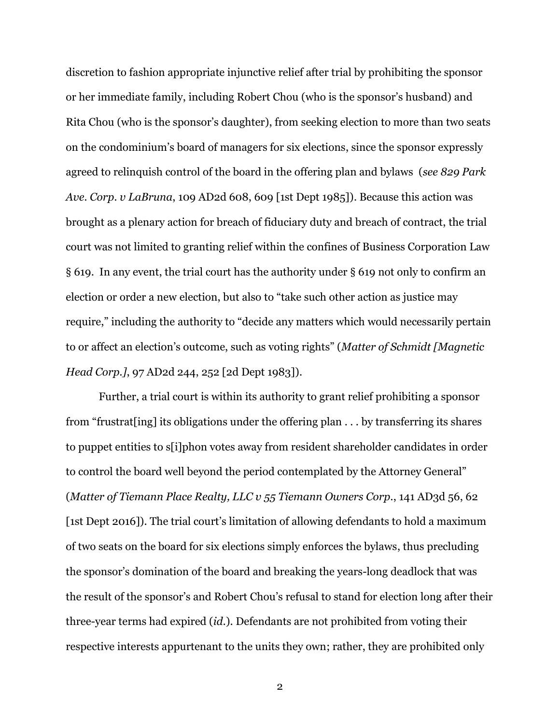discretion to fashion appropriate injunctive relief after trial by prohibiting the sponsor or her immediate family, including Robert Chou (who is the sponsor's husband) and Rita Chou (who is the sponsor's daughter), from seeking election to more than two seats on the condominium's board of managers for six elections, since the sponsor expressly agreed to relinquish control of the board in the offering plan and bylaws (*see 829 Park Ave. Corp. v LaBruna*, 109 AD2d 608, 609 [1st Dept 1985]). Because this action was brought as a plenary action for breach of fiduciary duty and breach of contract, the trial court was not limited to granting relief within the confines of Business Corporation Law § 619. In any event, the trial court has the authority under § 619 not only to confirm an election or order a new election, but also to "take such other action as justice may require," including the authority to "decide any matters which would necessarily pertain to or affect an election's outcome, such as voting rights" (*Matter of Schmidt [Magnetic Head Corp.]*, 97 AD2d 244, 252 [2d Dept 1983]).

Further, a trial court is within its authority to grant relief prohibiting a sponsor from "frustrat[ing] its obligations under the offering plan . . . by transferring its shares to puppet entities to s[i]phon votes away from resident shareholder candidates in order to control the board well beyond the period contemplated by the Attorney General" (*Matter of Tiemann Place Realty, LLC v 55 Tiemann Owners Corp.*, 141 AD3d 56, 62 [1st Dept 2016]). The trial court's limitation of allowing defendants to hold a maximum of two seats on the board for six elections simply enforces the bylaws, thus precluding the sponsor's domination of the board and breaking the years-long deadlock that was the result of the sponsor's and Robert Chou's refusal to stand for election long after their three-year terms had expired (*id.*). Defendants are not prohibited from voting their respective interests appurtenant to the units they own; rather, they are prohibited only

2